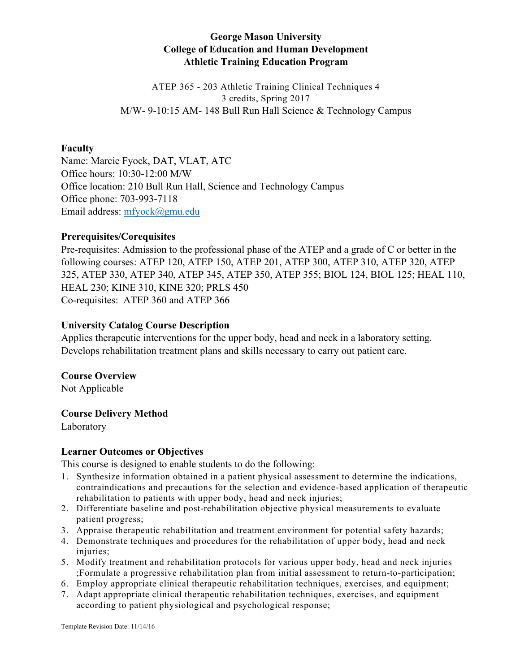# **George Mason University College of Education and Human Development Athletic Training Education Program**

ATEP 365 - 203 Athletic Training Clinical Techniques 4 3 credits, Spring 2017 M/W- 9-10:15 AM- 148 Bull Run Hall Science & Technology Campus

### **Faculty**

Name: Marcie Fyock, DAT, VLAT, ATC Office hours: 10:30-12:00 M/W Office location: 210 Bull Run Hall, Science and Technology Campus Office phone: 703-993-7118 Email address: mfyock@gmu.edu

#### **Prerequisites/Corequisites**

Pre-requisites: Admission to the professional phase of the ATEP and a grade of C or better in the following courses: ATEP 120, ATEP 150, ATEP 201, ATEP 300, ATEP 310, ATEP 320, ATEP 325, ATEP 330, ATEP 340, ATEP 345, ATEP 350, ATEP 355; BIOL 124, BIOL 125; HEAL 110, HEAL 230; KINE 310, KINE 320; PRLS 450 Co-requisites:ATEP 360 and ATEP 366

#### **University Catalog Course Description**

Applies therapeutic interventions for the upper body, head and neck in a laboratory setting. Develops rehabilitation treatment plans and skills necessary to carry out patient care.

### **Course Overview**

Not Applicable

### **Course Delivery Method**

Laboratory

#### **Learner Outcomes or Objectives**

This course is designed to enable students to do the following:

- 1. Synthesize information obtained in a patient physical assessment to determine the indications, contraindications and precautions for the selection and evidence-based application of therapeutic rehabilitation to patients with upper body, head and neck injuries;
- 2. Differentiate baseline and post-rehabilitation objective physical measurements to evaluate patient progress;
- 3. Appraise therapeutic rehabilitation and treatment environment for potential safety hazards;
- 4. Demonstrate techniques and procedures for the rehabilitation of upper body, head and neck injuries;
- 5. Modify treatment and rehabilitation protocols for various upper body, head and neck injuries ;Formulate a progressive rehabilitation plan from initial assessment to return-to-participation;
- 6. Employ appropriate clinical therapeutic rehabilitation techniques, exercises, and equipment;
- 7. Adapt appropriate clinical therapeutic rehabilitation techniques, exercises, and equipment according to patient physiological and psychological response;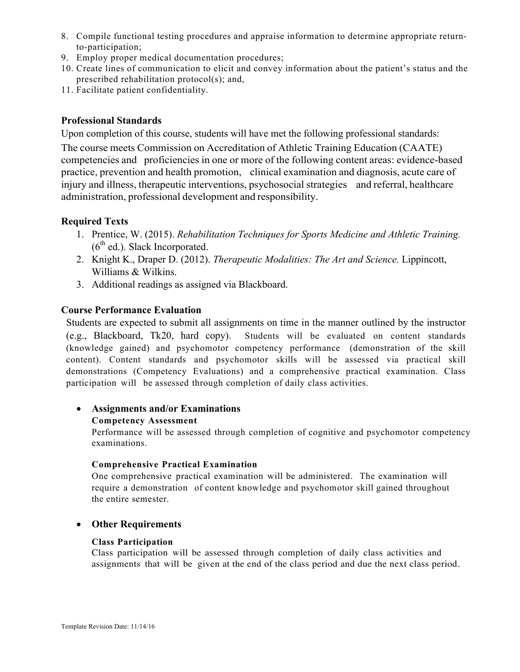- 8. Compile functional testing procedures and appraise information to determine appropriate returnto-participation;
- 9. Employ proper medical documentation procedures;
- 10. Create lines of communication to elicit and convey information about the patient's status and the prescribed rehabilitation protocol(s); and,
- 11. Facilitate patient confidentiality.

### **Professional Standards**

Upon completion of this course, students will have met the following professional standards:

The course meets Commission on Accreditation of Athletic Training Education (CAATE) competencies and proficiencies in one or more of the following content areas: evidence-based practice, prevention and health promotion, clinical examination and diagnosis, acute care of injury and illness, therapeutic interventions, psychosocial strategies and referral, healthcare administration, professional development and responsibility.

## **Required Texts**

- 1. Prentice, W. (2015). *Rehabilitation Techniques for Sports Medicine and Athletic Training.*   $(6<sup>th</sup>$  ed.). Slack Incorporated.
- 2. Knight K., Draper D. (2012). *Therapeutic Modalities: The Art and Science.* Lippincott, Williams & Wilkins.
- 3. Additional readings as assigned via Blackboard.

## **Course Performance Evaluation**

Students are expected to submit all assignments on time in the manner outlined by the instructor (e.g., Blackboard, Tk20, hard copy). Students will be evaluated on content standards (knowledge gained) and psychomotor competency performance (demonstration of the skill content). Content standards and psychomotor skills will be assessed via practical skill demonstrations (Competency Evaluations) and a comprehensive practical examination. Class participation will be assessed through completion of daily class activities.

### • **Assignments and/or Examinations**

#### **Competency Assessment**

Performance will be assessed through completion of cognitive and psychomotor competency examinations.

#### **Comprehensive Practical Examination**

One comprehensive practical examination will be administered. The examination will require a demonstration of content knowledge and psychomotor skill gained throughout the entire semester.

### • **Other Requirements**

#### **Class Participation**

Class participation will be assessed through completion of daily class activities and assignments that will be given at the end of the class period and due the next class period.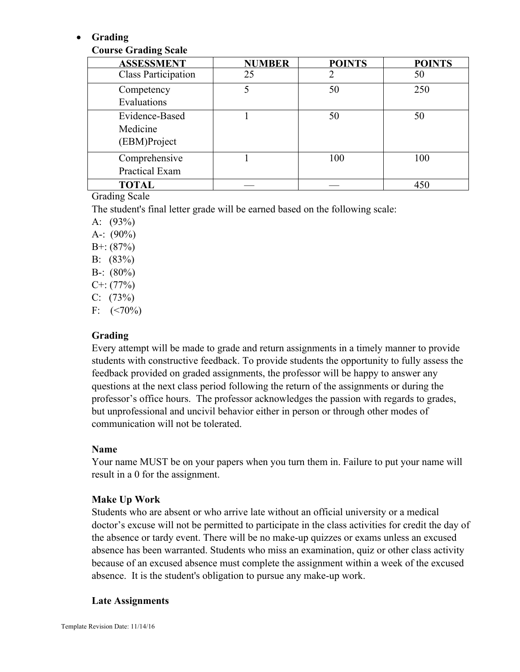## • **Grading**

## **Course Grading Scale**

| <b>ASSESSMENT</b>                          | <b>NUMBER</b> | <b>POINTS</b> | <b>POINTS</b> |
|--------------------------------------------|---------------|---------------|---------------|
| <b>Class Participation</b>                 | 25            |               | 50            |
| Competency<br>Evaluations                  |               | 50            | 250           |
| Evidence-Based<br>Medicine<br>(EBM)Project |               | 50            | 50            |
| Comprehensive<br>Practical Exam            |               | 100           | 100           |
| <b>TOTAL</b>                               |               |               | 450           |

### Grading Scale

The student's final letter grade will be earned based on the following scale:

- A:  $(93%)$
- A-:  $(90\%)$
- $B^{+}$ : (87%)
- B: (83%)
- B-:  $(80\%)$
- $C^{+}$ : (77%)
- $C: (73%)$
- F:  $(< 70\%)$

## **Grading**

Every attempt will be made to grade and return assignments in a timely manner to provide students with constructive feedback. To provide students the opportunity to fully assess the feedback provided on graded assignments, the professor will be happy to answer any questions at the next class period following the return of the assignments or during the professor's office hours. The professor acknowledges the passion with regards to grades, but unprofessional and uncivil behavior either in person or through other modes of communication will not be tolerated.

### **Name**

Your name MUST be on your papers when you turn them in. Failure to put your name will result in a 0 for the assignment.

## **Make Up Work**

Students who are absent or who arrive late without an official university or a medical doctor's excuse will not be permitted to participate in the class activities for credit the day of the absence or tardy event. There will be no make-up quizzes or exams unless an excused absence has been warranted. Students who miss an examination, quiz or other class activity because of an excused absence must complete the assignment within a week of the excused absence. It is the student's obligation to pursue any make-up work.

### **Late Assignments**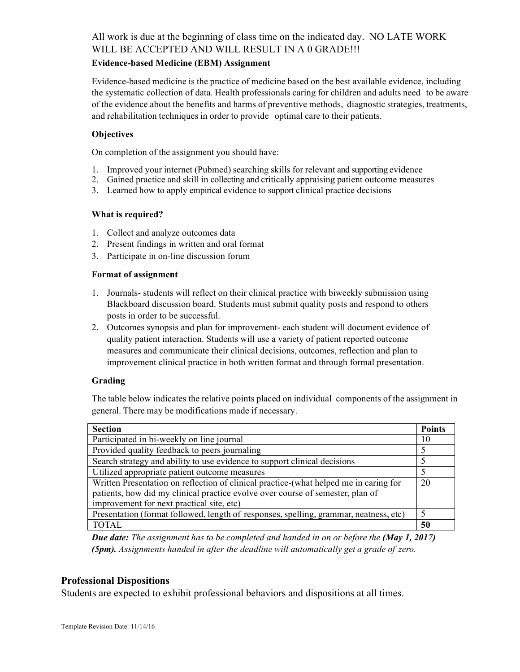#### **Evidence-based Medicine (EBM) Assignment**

Evidence-based medicine is the practice of medicine based on the best available evidence, including the systematic collection of data. Health professionals caring for children and adults need to be aware of the evidence about the benefits and harms of preventive methods, diagnostic strategies, treatments, and rehabilitation techniques in order to provide optimal care to their patients.

#### **Objectives**

On completion of the assignment you should have:

- 1. Improved your internet (Pubmed) searching skills for relevant and supporting evidence
- 2. Gained practice and skill in collecting and critically appraising patient outcome measures
- 3. Learned how to apply empirical evidence to support clinical practice decisions

#### **What is required?**

- 1. Collect and analyze outcomes data
- 2. Present findings in written and oral format
- 3. Participate in on-line discussion forum

#### **Format of assignment**

- 1. Journals- students will reflect on their clinical practice with biweekly submission using Blackboard discussion board. Students must submit quality posts and respond to others posts in order to be successful.
- 2. Outcomes synopsis and plan for improvement- each student will document evidence of quality patient interaction. Students will use a variety of patient reported outcome measures and communicate their clinical decisions, outcomes, reflection and plan to improvement clinical practice in both written format and through formal presentation.

### **Grading**

The table below indicates the relative points placed on individual components of the assignment in general. There may be modifications made if necessary.

| <b>Section</b>                                                                                                                                                                                                       | <b>Points</b> |  |  |  |
|----------------------------------------------------------------------------------------------------------------------------------------------------------------------------------------------------------------------|---------------|--|--|--|
| Participated in bi-weekly on line journal                                                                                                                                                                            |               |  |  |  |
| Provided quality feedback to peers journaling                                                                                                                                                                        |               |  |  |  |
| Search strategy and ability to use evidence to support clinical decisions                                                                                                                                            |               |  |  |  |
| Utilized appropriate patient outcome measures                                                                                                                                                                        | 5             |  |  |  |
| Written Presentation on reflection of clinical practice-(what helped me in caring for<br>patients, how did my clinical practice evolve over course of semester, plan of<br>improvement for next practical site, etc) |               |  |  |  |
| Presentation (format followed, length of responses, spelling, grammar, neatness, etc)                                                                                                                                | 5             |  |  |  |
| <b>TOTAL</b>                                                                                                                                                                                                         | 50            |  |  |  |

*Due date: The assignment has to be completed and handed in on or before the (May 1, 2017) (5pm). Assignments handed in after the deadline will automatically get a grade of zero.*

### **Professional Dispositions**

Students are expected to exhibit professional behaviors and dispositions at all times.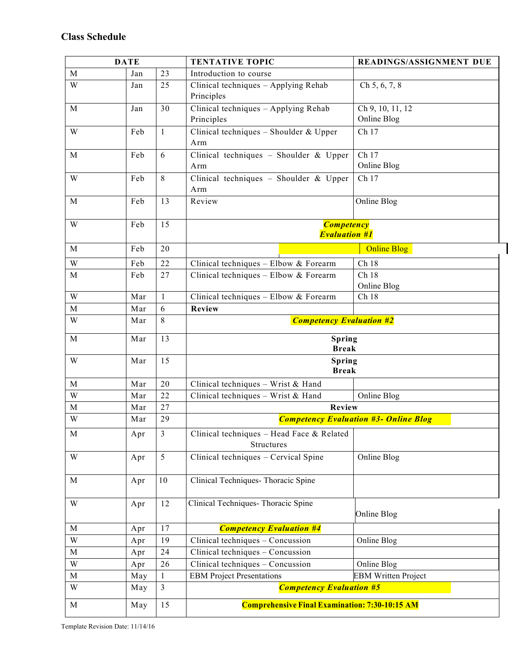| <b>DATE</b>             |     |                | <b>TENTATIVE TOPIC</b>                                  | <b>READINGS/ASSIGNMENT DUE</b>  |  |
|-------------------------|-----|----------------|---------------------------------------------------------|---------------------------------|--|
| M                       | Jan | 23             | Introduction to course                                  |                                 |  |
| W                       | Jan | 25             | Clinical techniques - Applying Rehab<br>Principles      | Ch 5, 6, 7, 8                   |  |
| M                       | Jan | 30             | Clinical techniques - Applying Rehab<br>Principles      | Ch 9, 10, 11, 12<br>Online Blog |  |
| W                       | Feb | $\mathbf{1}$   | Clinical techniques - Shoulder & Upper<br>Arm           | Ch 17                           |  |
| M                       | Feb | 6              | Clinical techniques - Shoulder & Upper<br>Arm           | Ch 17<br>Online Blog            |  |
| W                       | Feb | 8              | Clinical techniques - Shoulder & Upper<br>Arm           | Ch 17                           |  |
| M                       | Feb | 13             | Review                                                  | Online Blog                     |  |
| W                       | Feb | 15             | <b>Competency</b><br><b>Evaluation #1</b>               |                                 |  |
| M                       | Feb | 20             | <b>Online Blog</b>                                      |                                 |  |
| W                       | Feb | 22             | Clinical techniques - Elbow & Forearm                   | Ch 18                           |  |
| $\mathbf M$             | Feb | 27             | Clinical techniques - Elbow & Forearm                   | Ch 18<br>Online Blog            |  |
| W                       | Mar | 1              | Clinical techniques - Elbow & Forearm                   | Ch 18                           |  |
| M                       | Mar | 6              | Review                                                  |                                 |  |
| W                       | Mar | 8              | <b>Competency Evaluation #2</b>                         |                                 |  |
| M                       | Mar | 13             | Spring<br><b>Break</b>                                  |                                 |  |
| $\ensuremath{\text{W}}$ | Mar | 15             | Spring<br><b>Break</b>                                  |                                 |  |
| M                       | Mar | 20             | Clinical techniques - Wrist & Hand                      |                                 |  |
| W                       | Mar | 22             | Clinical techniques - Wrist & Hand                      | Online Blog                     |  |
| M                       | Mar | 27             | Review                                                  |                                 |  |
| W                       | Mar | 29             | <b>Competency Evaluation #3- Online Blog</b>            |                                 |  |
| M                       | Apr | $\mathfrak{Z}$ | Clinical techniques - Head Face & Related<br>Structures |                                 |  |
| W                       | Apr | 5              | Clinical techniques - Cervical Spine                    | Online Blog                     |  |
| $\mathbf{M}$            | Apr | 10             | Clinical Techniques-Thoracic Spine                      |                                 |  |
| W                       | Apr | 12             | Clinical Techniques- Thoracic Spine                     | Online Blog                     |  |
| M                       | Apr | 17             | <b>Competency Evaluation #4</b>                         |                                 |  |
| W                       | Apr | 19             | Clinical techniques - Concussion                        | Online Blog                     |  |
| M                       | Apr | 24             | Clinical techniques - Concussion                        |                                 |  |
| $\ensuremath{\text{W}}$ | Apr | 26             | Clinical techniques - Concussion                        | Online Blog                     |  |
| $\mathbf M$             | May | $\mathbf{1}$   | <b>EBM Project Presentations</b>                        | <b>EBM Written Project</b>      |  |
| W                       | May | $\overline{3}$ | <b>Competency Evaluation #5</b>                         |                                 |  |
| $\mathbf M$             | May | 15             | <b>Comprehensive Final Examination: 7:30-10:15 AM</b>   |                                 |  |

Template Revision Date: 11/14/16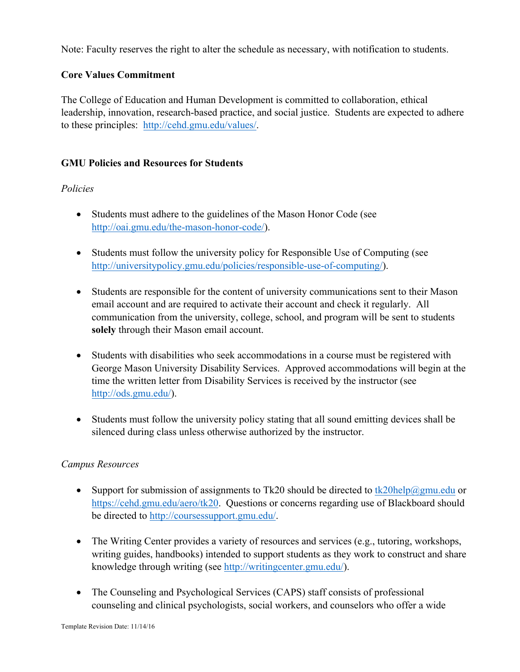Note: Faculty reserves the right to alter the schedule as necessary, with notification to students.

# **Core Values Commitment**

The College of Education and Human Development is committed to collaboration, ethical leadership, innovation, research-based practice, and social justice. Students are expected to adhere to these principles: http://cehd.gmu.edu/values/.

# **GMU Policies and Resources for Students**

# *Policies*

- Students must adhere to the guidelines of the Mason Honor Code (see http://oai.gmu.edu/the-mason-honor-code/).
- Students must follow the university policy for Responsible Use of Computing (see http://universitypolicy.gmu.edu/policies/responsible-use-of-computing/).
- Students are responsible for the content of university communications sent to their Mason email account and are required to activate their account and check it regularly. All communication from the university, college, school, and program will be sent to students **solely** through their Mason email account.
- Students with disabilities who seek accommodations in a course must be registered with George Mason University Disability Services. Approved accommodations will begin at the time the written letter from Disability Services is received by the instructor (see http://ods.gmu.edu/).
- Students must follow the university policy stating that all sound emitting devices shall be silenced during class unless otherwise authorized by the instructor.

# *Campus Resources*

- Support for submission of assignments to Tk20 should be directed to  $tk20$ help $@gmu$ edu or https://cehd.gmu.edu/aero/tk20. Questions or concerns regarding use of Blackboard should be directed to http://coursessupport.gmu.edu/.
- The Writing Center provides a variety of resources and services (e.g., tutoring, workshops, writing guides, handbooks) intended to support students as they work to construct and share knowledge through writing (see http://writingcenter.gmu.edu/).
- The Counseling and Psychological Services (CAPS) staff consists of professional counseling and clinical psychologists, social workers, and counselors who offer a wide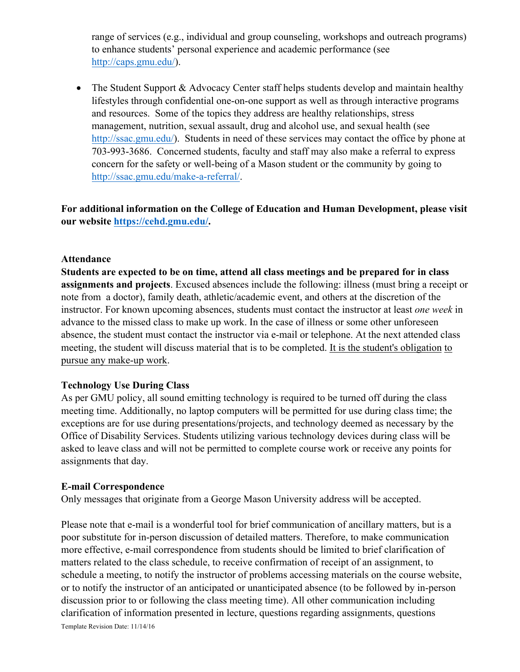range of services (e.g., individual and group counseling, workshops and outreach programs) to enhance students' personal experience and academic performance (see http://caps.gmu.edu/).

• The Student Support & Advocacy Center staff helps students develop and maintain healthy lifestyles through confidential one-on-one support as well as through interactive programs and resources. Some of the topics they address are healthy relationships, stress management, nutrition, sexual assault, drug and alcohol use, and sexual health (see http://ssac.gmu.edu/). Students in need of these services may contact the office by phone at 703-993-3686. Concerned students, faculty and staff may also make a referral to express concern for the safety or well-being of a Mason student or the community by going to http://ssac.gmu.edu/make-a-referral/.

**For additional information on the College of Education and Human Development, please visit our website https://cehd.gmu.edu/.**

### **Attendance**

**Students are expected to be on time, attend all class meetings and be prepared for in class assignments and projects**. Excused absences include the following: illness (must bring a receipt or note from a doctor), family death, athletic/academic event, and others at the discretion of the instructor. For known upcoming absences, students must contact the instructor at least *one week* in advance to the missed class to make up work. In the case of illness or some other unforeseen absence, the student must contact the instructor via e-mail or telephone. At the next attended class meeting, the student will discuss material that is to be completed. It is the student's obligation to pursue any make-up work.

## **Technology Use During Class**

As per GMU policy, all sound emitting technology is required to be turned off during the class meeting time. Additionally, no laptop computers will be permitted for use during class time; the exceptions are for use during presentations/projects, and technology deemed as necessary by the Office of Disability Services. Students utilizing various technology devices during class will be asked to leave class and will not be permitted to complete course work or receive any points for assignments that day.

### **E-mail Correspondence**

Only messages that originate from a George Mason University address will be accepted.

Template Revision Date: 11/14/16 Please note that e-mail is a wonderful tool for brief communication of ancillary matters, but is a poor substitute for in-person discussion of detailed matters. Therefore, to make communication more effective, e-mail correspondence from students should be limited to brief clarification of matters related to the class schedule, to receive confirmation of receipt of an assignment, to schedule a meeting, to notify the instructor of problems accessing materials on the course website, or to notify the instructor of an anticipated or unanticipated absence (to be followed by in-person discussion prior to or following the class meeting time). All other communication including clarification of information presented in lecture, questions regarding assignments, questions